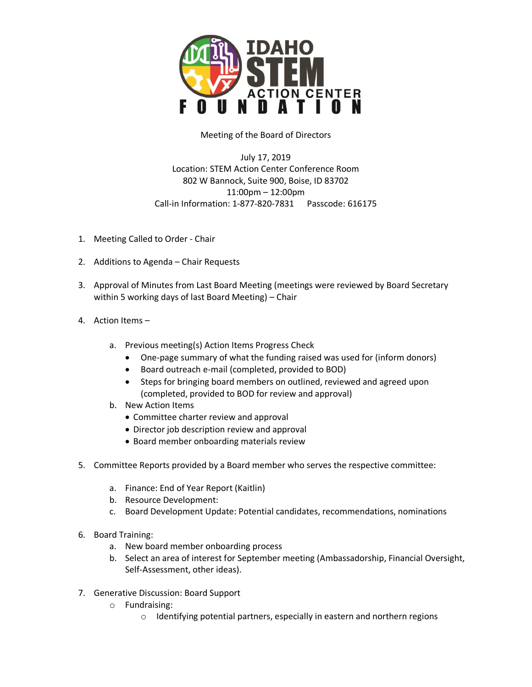

Meeting of the Board of Directors

July 17, 2019 Location: STEM Action Center Conference Room 802 W Bannock, Suite 900, Boise, ID 83702 11:00pm – 12:00pm Call-in Information: 1-877-820-7831 Passcode: 616175

- 1. Meeting Called to Order Chair
- 2. Additions to Agenda Chair Requests
- 3. Approval of Minutes from Last Board Meeting (meetings were reviewed by Board Secretary within 5 working days of last Board Meeting) – Chair
- 4. Action Items
	- a. Previous meeting(s) Action Items Progress Check
		- One-page summary of what the funding raised was used for (inform donors)
		- Board outreach e-mail (completed, provided to BOD)
		- Steps for bringing board members on outlined, reviewed and agreed upon (completed, provided to BOD for review and approval)
	- b. New Action Items
		- Committee charter review and approval
		- Director job description review and approval
		- Board member onboarding materials review
- 5. Committee Reports provided by a Board member who serves the respective committee:
	- a. Finance: End of Year Report (Kaitlin)
	- b. Resource Development:
	- c. Board Development Update: Potential candidates, recommendations, nominations
- 6. Board Training:
	- a. New board member onboarding process
	- b. Select an area of interest for September meeting (Ambassadorship, Financial Oversight, Self-Assessment, other ideas).
- 7. Generative Discussion: Board Support
	- o Fundraising:
		- o Identifying potential partners, especially in eastern and northern regions